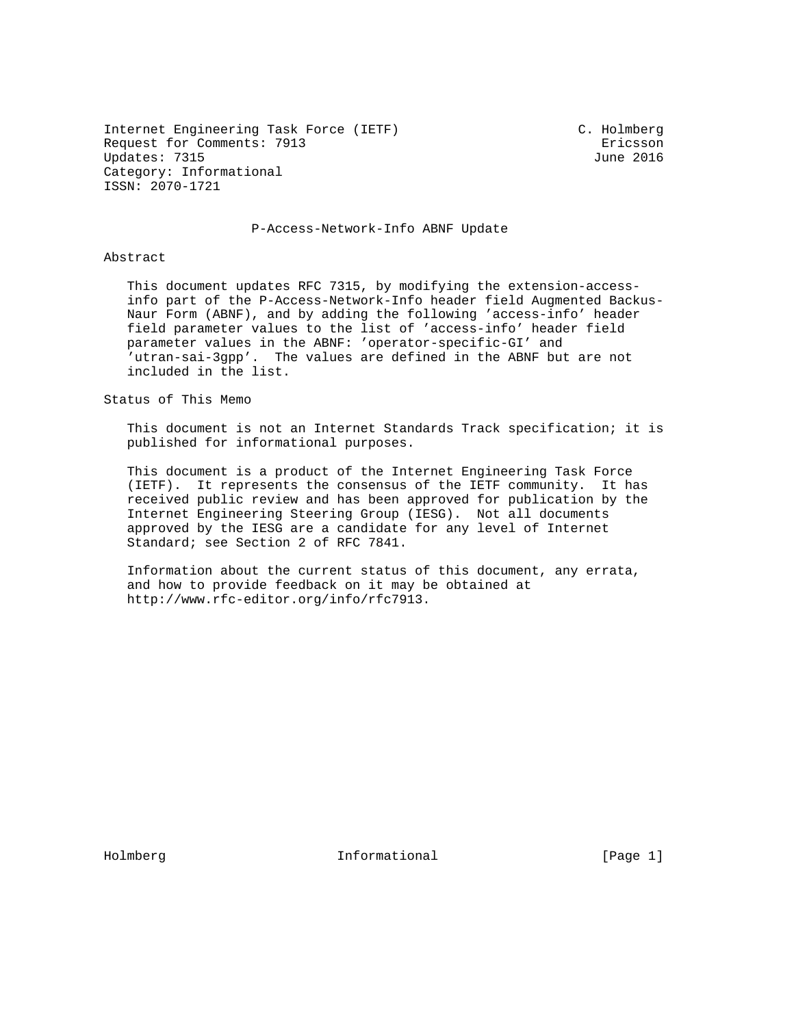Internet Engineering Task Force (IETF) C. Holmberg Request for Comments: 7913<br>
Updates: 7315<br>
Updates: 7315 Updates: 7315 Category: Informational ISSN: 2070-1721

## P-Access-Network-Info ABNF Update

Abstract

 This document updates RFC 7315, by modifying the extension-access info part of the P-Access-Network-Info header field Augmented Backus- Naur Form (ABNF), and by adding the following 'access-info' header field parameter values to the list of 'access-info' header field parameter values in the ABNF: 'operator-specific-GI' and 'utran-sai-3gpp'. The values are defined in the ABNF but are not included in the list.

Status of This Memo

 This document is not an Internet Standards Track specification; it is published for informational purposes.

 This document is a product of the Internet Engineering Task Force (IETF). It represents the consensus of the IETF community. It has received public review and has been approved for publication by the Internet Engineering Steering Group (IESG). Not all documents approved by the IESG are a candidate for any level of Internet Standard; see Section 2 of RFC 7841.

 Information about the current status of this document, any errata, and how to provide feedback on it may be obtained at http://www.rfc-editor.org/info/rfc7913.

Holmberg 11 Informational 1999 [Page 1]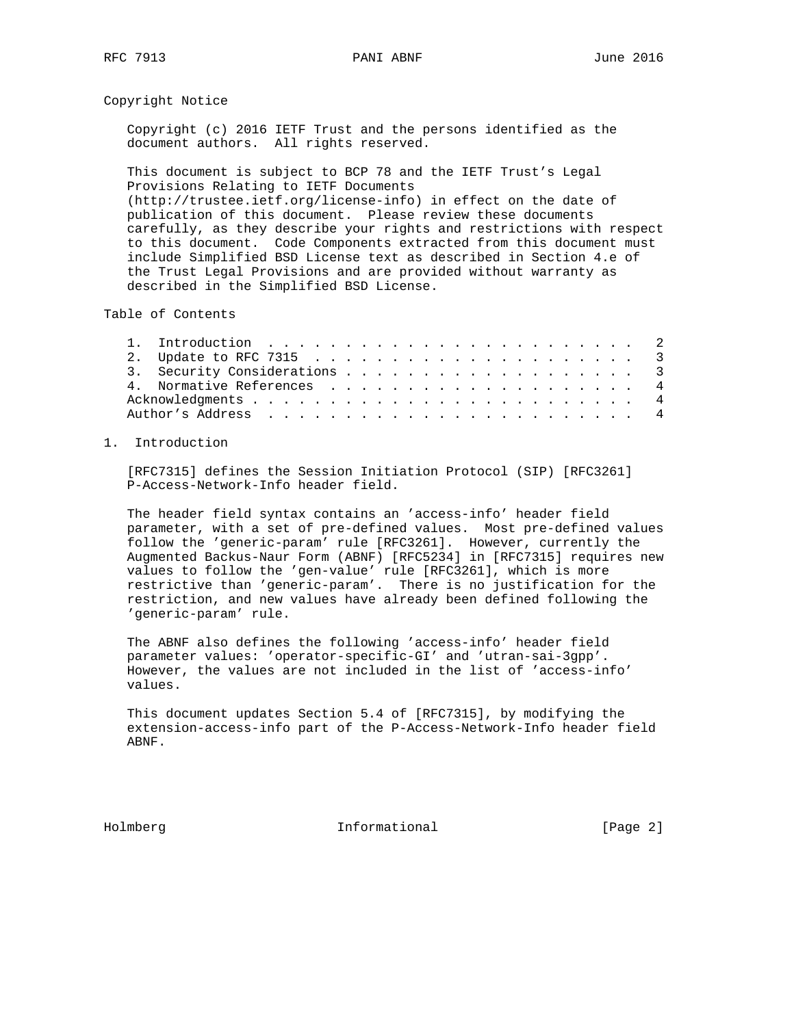Copyright Notice

 Copyright (c) 2016 IETF Trust and the persons identified as the document authors. All rights reserved.

 This document is subject to BCP 78 and the IETF Trust's Legal Provisions Relating to IETF Documents (http://trustee.ietf.org/license-info) in effect on the date of publication of this document. Please review these documents carefully, as they describe your rights and restrictions with respect to this document. Code Components extracted from this document must include Simplified BSD License text as described in Section 4.e of the Trust Legal Provisions and are provided without warranty as described in the Simplified BSD License.

Table of Contents

## 1. Introduction

 [RFC7315] defines the Session Initiation Protocol (SIP) [RFC3261] P-Access-Network-Info header field.

 The header field syntax contains an 'access-info' header field parameter, with a set of pre-defined values. Most pre-defined values follow the 'generic-param' rule [RFC3261]. However, currently the Augmented Backus-Naur Form (ABNF) [RFC5234] in [RFC7315] requires new values to follow the 'gen-value' rule [RFC3261], which is more restrictive than 'generic-param'. There is no justification for the restriction, and new values have already been defined following the 'generic-param' rule.

 The ABNF also defines the following 'access-info' header field parameter values: 'operator-specific-GI' and 'utran-sai-3gpp'. However, the values are not included in the list of 'access-info' values.

 This document updates Section 5.4 of [RFC7315], by modifying the extension-access-info part of the P-Access-Network-Info header field ABNF.

Holmberg Informational [Page 2]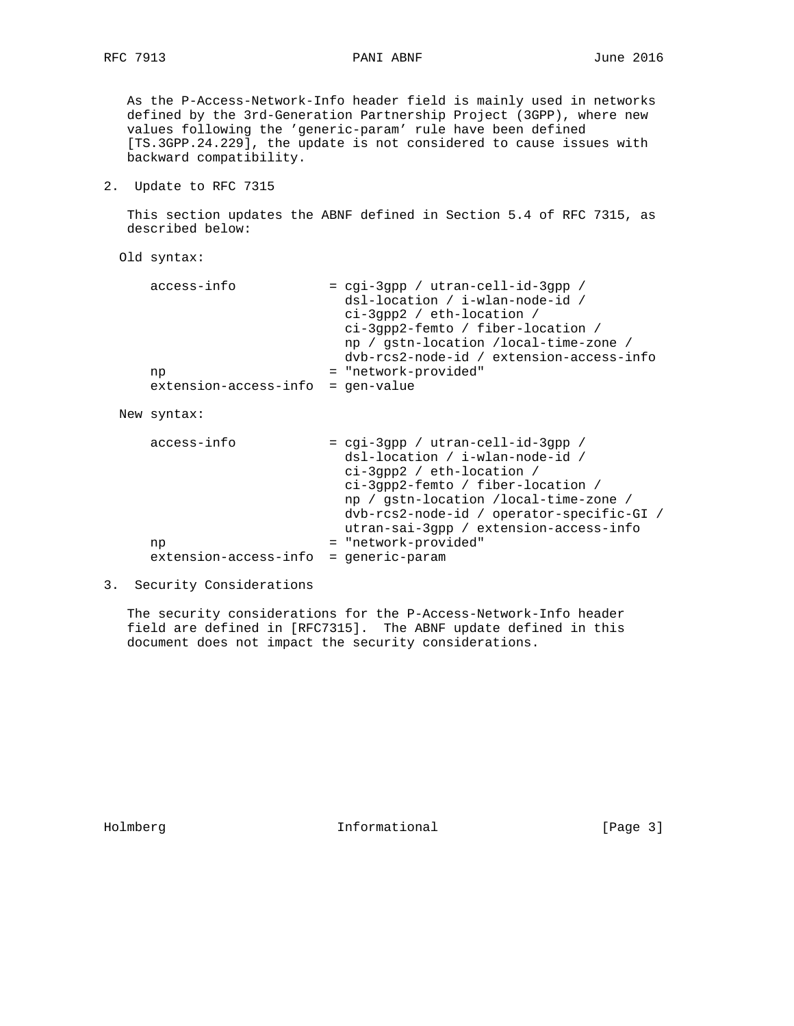As the P-Access-Network-Info header field is mainly used in networks defined by the 3rd-Generation Partnership Project (3GPP), where new values following the 'generic-param' rule have been defined [TS.3GPP.24.229], the update is not considered to cause issues with backward compatibility.

2. Update to RFC 7315

 This section updates the ABNF defined in Section 5.4 of RFC 7315, as described below:

Old syntax:

| access-info                       | = cqi-3qpp / utran-cell-id-3qpp          |
|-----------------------------------|------------------------------------------|
|                                   | dsl-location / i-wlan-node-id /          |
|                                   | $ci-3app2$ / eth-location /              |
|                                   | ci-3gpp2-femto / fiber-location /        |
|                                   | np / gstn-location /local-time-zone /    |
|                                   | dvb-rcs2-node-id / extension-access-info |
| np                                | = "network-provided"                     |
| extension-access-info = gen-value |                                          |

New syntax:

| access-info                           | = cgi-3gpp / utran-cell-id-3gpp /         |
|---------------------------------------|-------------------------------------------|
|                                       | dsl-location / i-wlan-node-id /           |
|                                       | $ci$ -3qpp2 / eth-location /              |
|                                       | ci-3gpp2-femto / fiber-location /         |
|                                       | np / gstn-location /local-time-zone /     |
|                                       | dvb-rcs2-node-id / operator-specific-GI / |
|                                       | utran-sai-3gpp / extension-access-info    |
| np                                    | = "network-provided"                      |
| extension-access-info = generic-param |                                           |

3. Security Considerations

 The security considerations for the P-Access-Network-Info header field are defined in [RFC7315]. The ABNF update defined in this document does not impact the security considerations.

Holmberg 111 Informational 111 Informational [Page 3]